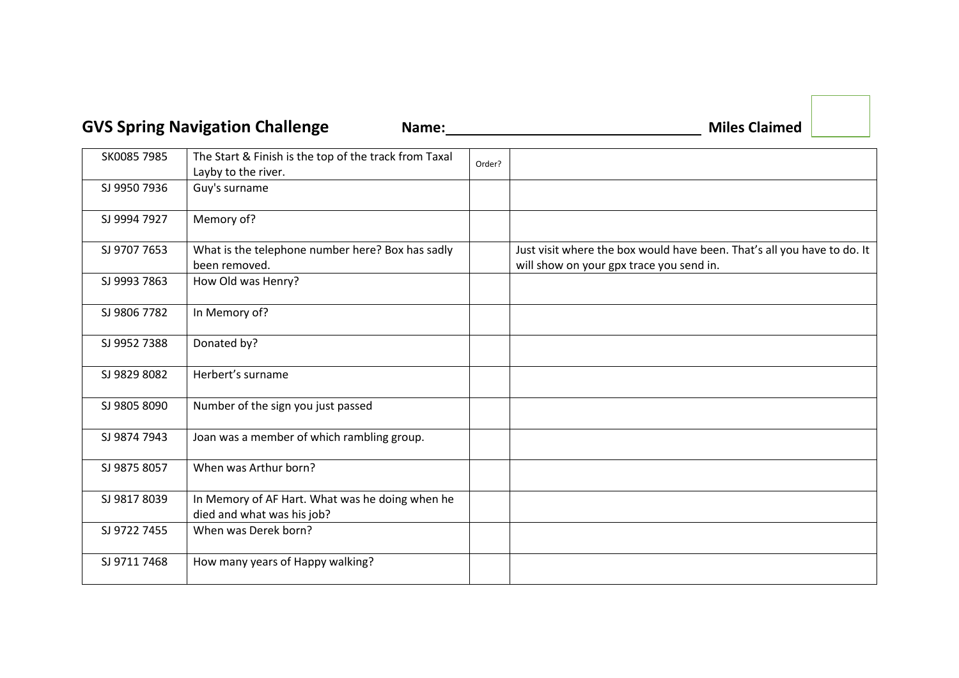## GVS Spring Navigation Challenge Mame: Mame. Mame. Miles Claimed

| SK0085 7985  | The Start & Finish is the top of the track from Taxal<br>Layby to the river.  | Order? |                                                                                                                     |
|--------------|-------------------------------------------------------------------------------|--------|---------------------------------------------------------------------------------------------------------------------|
| SJ 9950 7936 | Guy's surname                                                                 |        |                                                                                                                     |
| SJ 9994 7927 | Memory of?                                                                    |        |                                                                                                                     |
| SJ 9707 7653 | What is the telephone number here? Box has sadly<br>been removed.             |        | Just visit where the box would have been. That's all you have to do. It<br>will show on your gpx trace you send in. |
| SJ 9993 7863 | How Old was Henry?                                                            |        |                                                                                                                     |
| SJ 9806 7782 | In Memory of?                                                                 |        |                                                                                                                     |
| SJ 9952 7388 | Donated by?                                                                   |        |                                                                                                                     |
| SJ 9829 8082 | Herbert's surname                                                             |        |                                                                                                                     |
| SJ 9805 8090 | Number of the sign you just passed                                            |        |                                                                                                                     |
| SJ 9874 7943 | Joan was a member of which rambling group.                                    |        |                                                                                                                     |
| SJ 9875 8057 | When was Arthur born?                                                         |        |                                                                                                                     |
| SJ 9817 8039 | In Memory of AF Hart. What was he doing when he<br>died and what was his job? |        |                                                                                                                     |
| SJ 9722 7455 | When was Derek born?                                                          |        |                                                                                                                     |
| SJ 9711 7468 | How many years of Happy walking?                                              |        |                                                                                                                     |